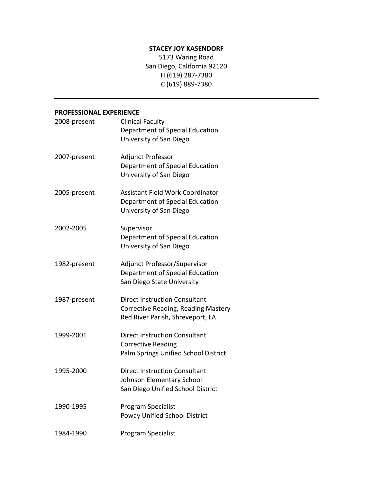#### **STACEY'JOY'KASENDORF**

5173 Waring Road San Diego, California 92120 H (619) 287-7380 C (619) 889-7380

#### **PROFESSIONAL EXPERIENCE**

| 2008-present | <b>Clinical Faculty</b><br>Department of Special Education<br>University of San Diego                           |
|--------------|-----------------------------------------------------------------------------------------------------------------|
| 2007-present | Adjunct Professor<br>Department of Special Education<br>University of San Diego                                 |
| 2005-present | <b>Assistant Field Work Coordinator</b><br>Department of Special Education<br>University of San Diego           |
| 2002-2005    | Supervisor<br>Department of Special Education<br>University of San Diego                                        |
| 1982-present | Adjunct Professor/Supervisor<br>Department of Special Education<br>San Diego State University                   |
| 1987-present | <b>Direct Instruction Consultant</b><br>Corrective Reading, Reading Mastery<br>Red River Parish, Shreveport, LA |
| 1999-2001    | <b>Direct Instruction Consultant</b><br><b>Corrective Reading</b><br>Palm Springs Unified School District       |
| 1995-2000    | <b>Direct Instruction Consultant</b><br>Johnson Elementary School<br>San Diego Unified School District          |
| 1990-1995    | Program Specialist<br><b>Poway Unified School District</b>                                                      |
| 1984-1990    | Program Specialist                                                                                              |